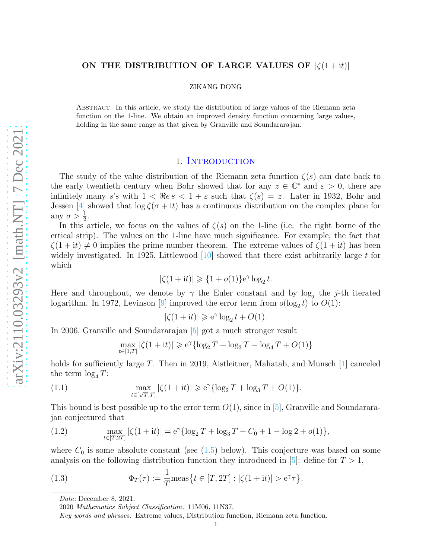# ON THE DISTRIBUTION OF LARGE VALUES OF  $|\zeta(1+it)|$

ZIKANG DONG

Abstract. In this article, we study the distribution of large values of the Riemann zeta function on the 1-line. We obtain an improved density function concerning large values, holding in the same range as that given by Granville and Soundararajan.

## 1. INTRODUCTION

The study of the value distribution of the Riemann zeta function  $\zeta(s)$  can date back to the early twentieth century when Bohr showed that for any  $z \in \mathbb{C}^*$  and  $\varepsilon > 0$ , there are infinitely many s's with  $1 < \Rees < 1 + \varepsilon$  such that  $\zeta(s) = z$ . Later in 1932, Bohr and Jessen [\[4\]](#page-16-0) showed that  $\log \zeta(\sigma + it)$  has a continuous distribution on the complex plane for any  $\sigma > \frac{1}{2}$ .

In this article, we focus on the values of  $\zeta(s)$  on the 1-line (i.e. the right borne of the crtical strip). The values on the 1-line have much significance. For example, the fact that  $\zeta(1+it) \neq 0$  implies the prime number theorem. The extreme values of  $\zeta(1+it)$  has been widely investigated. In 1925, Littlewood  $[10]$  showed that there exist arbitrarily large t for which

$$
|\zeta(1+{\rm i}t)| \geq \{1+o(1)\}{\rm e}^{\gamma}\log_2 t.
$$

Here and throughout, we denote by  $\gamma$  the Euler constant and by log<sub>j</sub> the j-th iterated logarithm. In 1972, Levinson [\[9\]](#page-16-2) improved the error term from  $o(\log_2 t)$  to  $O(1)$ :

$$
|\zeta(1+{\rm i}t)|\geqslant {\rm e}^\gamma\log_2t+O(1).
$$

In 2006, Granville and Soundararajan [\[5\]](#page-16-3) got a much stronger result

<span id="page-0-0"></span>
$$
\max_{t\in[1,T]}|\zeta(1+{\rm i}t)|\geqslant {\rm e}^\gamma\{\log_2T+\log_3T-\log_4T+O(1)\}
$$

holds for sufficiently large T. Then in 2019, Aistleitner, Mahatab, and Munsch [\[1\]](#page-16-4) canceled the term  $\log_4 T$ :

(1.1) 
$$
\max_{t \in [\sqrt{T}, T]} |\zeta(1 + it)| \geq e^{\gamma} {\log_2 T + \log_3 T + O(1)}.
$$

This bound is best possible up to the error term  $O(1)$ , since in [\[5\]](#page-16-3), Granville and Soundararajan conjectured that

<span id="page-0-1"></span>(1.2) 
$$
\max_{t \in [T, 2T]} |\zeta(1+it)| = e^{\gamma} {\log_2 T + \log_3 T + C_0 + 1 - \log 2 + o(1)},
$$

where  $C_0$  is some absolute constant (see  $(1.5)$  below). This conjecture was based on some analysis on the following distribution function they introduced in [\[5\]](#page-16-3): define for  $T > 1$ ,

(1.3) 
$$
\Phi_T(\tau) := \frac{1}{T} \text{meas} \{ t \in [T, 2T] : |\zeta(1 + \mathrm{i}t)| > e^{\gamma} \tau \}.
$$

Date: December 8, 2021.

<sup>2020</sup> Mathematics Subject Classification. 11M06, 11N37.

Key words and phrases. Extreme values, Distribution function, Riemann zeta function.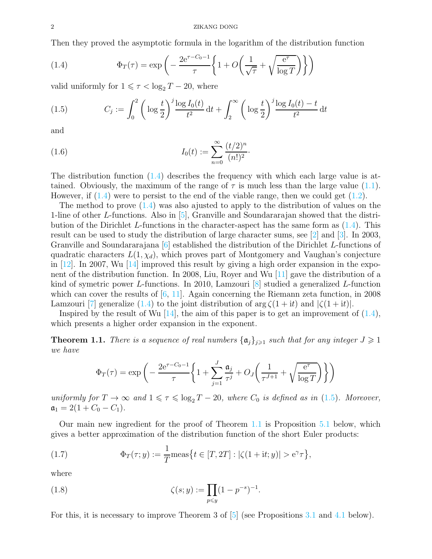Then they proved the asymptotic formula in the logarithm of the distribution function

<span id="page-1-1"></span>(1.4) 
$$
\Phi_T(\tau) = \exp\left(-\frac{2e^{\tau - C_0 - 1}}{\tau} \left\{1 + O\left(\frac{1}{\sqrt{\tau}} + \sqrt{\frac{e^{\tau}}{\log T}}\right)\right\}\right)
$$

valid uniformly for  $1 \leq \tau < \log_2 T - 20$ , where

<span id="page-1-0"></span>(1.5) 
$$
C_j := \int_0^2 \left( \log \frac{t}{2} \right)^j \frac{\log I_0(t)}{t^2} dt + \int_2^\infty \left( \log \frac{t}{2} \right)^j \frac{\log I_0(t) - t}{t^2} dt
$$

and

<span id="page-1-3"></span>(1.6) 
$$
I_0(t) := \sum_{n=0}^{\infty} \frac{(t/2)^n}{(n!)^2}.
$$

The distribution function [\(1.4\)](#page-1-1) describes the frequency with which each large value is attained. Obviously, the maximum of the range of  $\tau$  is much less than the large value [\(1.1\)](#page-0-0). However, if  $(1.4)$  were to persist to the end of the viable range, then we could get  $(1.2)$ .

The method to prove  $(1.4)$  was also ajusted to apply to the distribution of values on the 1-line of other L-functions. Also in [\[5\]](#page-16-3), Granville and Soundararajan showed that the distribution of the Dirichlet L-functions in the character-aspect has the same form as  $(1.4)$ . This result can be used to study the distribution of large character sums, see [\[2\]](#page-16-5) and [\[3\]](#page-16-6). In 2003, Granville and Soundararajana [\[6\]](#page-16-7) established the distribution of the Dirichlet L-functions of quadratic characters  $L(1, \chi_d)$ , which proves part of Montgomery and Vaughan's conjecture in  $[12]$ . In 2007, Wu  $[14]$  improved this result by giving a high order expansion in the exponent of the distribution function. In 2008, Liu, Royer and Wu [\[11\]](#page-16-10) gave the distribution of a kind of symetric power L-functions. In 2010, Lamzouri [\[8\]](#page-16-11) studied a generalized L-function which can cover the results of  $[6, 11]$  $[6, 11]$ . Again concerning the Riemann zeta function, in 2008 Lamzouri [\[7\]](#page-16-12) generalize [\(1.4\)](#page-1-1) to the joint distribution of  $\arg \zeta(1 + it)$  and  $|\zeta(1 + it)|$ .

Inspired by the result of Wu  $[14]$ , the aim of this paper is to get an improvement of  $(1.4)$ , which presents a higher order expansion in the exponent.

<span id="page-1-2"></span>**Theorem 1.1.** There is a sequence of real numbers  $\{\mathfrak{a}_j\}_{j\geqslant1}$  such that for any integer  $J\geqslant1$ we have

$$
\Phi_T(\tau) = \exp\left(-\frac{2e^{\tau - C_0 - 1}}{\tau} \left\{ 1 + \sum_{j=1}^J \frac{\mathfrak{a}_j}{\tau^j} + O_J\left(\frac{1}{\tau^{J+1}} + \sqrt{\frac{e^{\tau}}{\log T}}\right) \right\} \right)
$$

uniformly for  $T \to \infty$  and  $1 \leq \tau \leq \log_2 T - 20$ , where  $C_0$  is defined as in [\(1.5\)](#page-1-0). Moreover,  $a_1 = 2(1 + C_0 - C_1).$ 

Our main new ingredient for the proof of Theorem [1.1](#page-1-2) is Proposition [5.1](#page-10-0) below, which gives a better approximation of the distribution function of the short Euler products:

(1.7) 
$$
\Phi_T(\tau; y) := \frac{1}{T} \text{meas} \{ t \in [T, 2T] : |\zeta(1 + \mathrm{i}t; y)| > e^{\gamma} \tau \},
$$

where

<span id="page-1-4"></span>(1.8) 
$$
\zeta(s; y) := \prod_{p \leq y} (1 - p^{-s})^{-1}.
$$

For this, it is necessary to improve Theorem 3 of [\[5\]](#page-16-3) (see Propositions [3.1](#page-3-0) and [4.1](#page-5-0) below).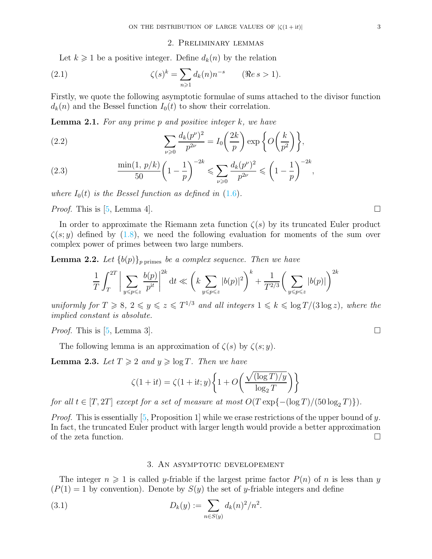### 2. Preliminary lemmas

Let  $k \geq 1$  be a positive integer. Define  $d_k(n)$  by the relation

(2.1) 
$$
\zeta(s)^k = \sum_{n \geq 1} d_k(n) n^{-s} \qquad (\Re e s > 1).
$$

Firstly, we quote the following asymptotic formulae of sums attached to the divisor function  $d_k(n)$  and the Bessel function  $I_0(t)$  to show their correlation.

<span id="page-2-0"></span>**Lemma 2.1.** For any prime p and positive integer  $k$ , we have

(2.2) 
$$
\sum_{\nu \geqslant 0} \frac{d_k(p^{\nu})^2}{p^{2\nu}} = I_0\left(\frac{2k}{p}\right) \exp\left\{O\left(\frac{k}{p^2}\right)\right\},\,
$$

<span id="page-2-2"></span>(2.3) 
$$
\frac{\min(1, p/k)}{50} \left(1 - \frac{1}{p}\right)^{-2k} \leq \sum_{\nu \geq 0} \frac{d_k(p^{\nu})^2}{p^{2\nu}} \leq \left(1 - \frac{1}{p}\right)^{-2k},
$$

where  $I_0(t)$  is the Bessel function as defined in [\(1.6\)](#page-1-3).

*Proof.* This is [\[5,](#page-16-3) Lemma 4].

In order to approximate the Riemann zeta function  $\zeta(s)$  by its truncated Euler product  $\zeta(s; y)$  defined by [\(1.8\)](#page-1-4), we need the following evaluation for moments of the sum over complex power of primes between two large numbers.

**Lemma 2.2.** Let  ${b(p)}_p$  primes be a complex sequence. Then we have

$$
\frac{1}{T} \int_{T}^{2T} \bigg| \sum_{y \le p \le z} \frac{b(p)}{p^{it}} \bigg|^{2k} dt \ll \left( k \sum_{y \le p \le z} |b(p)|^2 \right)^k + \frac{1}{T^{2/3}} \left( \sum_{y \le p \le z} |b(p)| \right)^{2k}
$$

uniformly for  $T \geq 8$ ,  $2 \leq y \leq z \leq T^{1/3}$  and all integers  $1 \leq k \leq \log T/(3 \log z)$ , where the implied constant is absolute.

*Proof.* This is [\[5,](#page-16-3) Lemma 3].  $\square$ 

The following lemma is an approximation of  $\zeta(s)$  by  $\zeta(s; y)$ .

<span id="page-2-3"></span>**Lemma 2.3.** Let  $T \geq 2$  and  $y \geq \log T$ . Then we have

$$
\zeta(1+{\rm i}t) = \zeta(1+{\rm i}t; y) \left\{ 1 + O\left(\frac{\sqrt{(\log T)/y}}{\log_2 T}\right) \right\}
$$

for all  $t \in [T, 2T]$  except for a set of measure at most  $O(T \exp\{-(\log T)/(50 \log_2 T)\})$ .

*Proof.* This is essentially [\[5,](#page-16-3) Proposition 1] while we erase restrictions of the upper bound of y. In fact, the truncated Euler product with larger length would provide a better approximation of the zeta function.  $\Box$ 

#### <span id="page-2-1"></span>3. An asymptotic developement

The integer  $n \geq 1$  is called y-friable if the largest prime factor  $P(n)$  of n is less than y  $(P(1) = 1$  by convention). Denote by  $S(y)$  the set of y-friable integers and define

(3.1) 
$$
D_k(y) := \sum_{n \in S(y)} d_k(n)^2 / n^2.
$$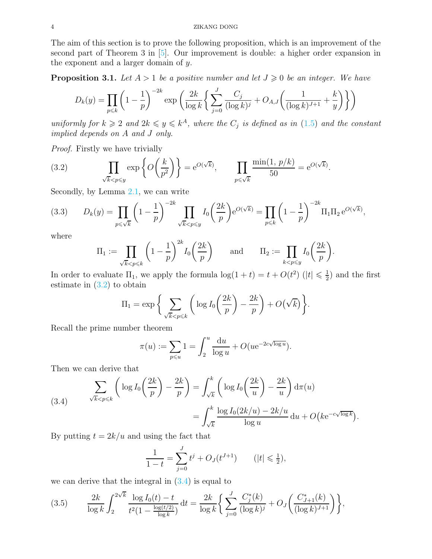The aim of this section is to prove the following proposition, which is an improvement of the second part of Theorem 3 in [\[5\]](#page-16-3). Our improvement is double: a higher order expansion in the exponent and a larger domain of  $y$ .

<span id="page-3-0"></span>**Proposition 3.1.** Let  $A > 1$  be a positive number and let  $J \geq 0$  be an integer. We have

$$
D_k(y) = \prod_{p \le k} \left(1 - \frac{1}{p}\right)^{-2k} \exp\left(\frac{2k}{\log k} \left\{ \sum_{j=0}^J \frac{C_j}{(\log k)^j} + O_{A,J} \left( \frac{1}{(\log k)^{J+1}} + \frac{k}{y} \right) \right\} \right)
$$

uniformly for  $k \geqslant 2$  and  $2k \leqslant y \leqslant k^A$ , where the  $C_j$  is defined as in  $(1.5)$  and the constant implied depends on A and J only.

Proof. Firstly we have trivially

<span id="page-3-1"></span>(3.2) 
$$
\prod_{\sqrt{k} < p \le y} \exp\left\{O\left(\frac{k}{p^2}\right)\right\} = e^{O(\sqrt{k})}, \qquad \prod_{p \le \sqrt{k}} \frac{\min(1, p/k)}{50} = e^{O(\sqrt{k})}.
$$

Secondly, by Lemma [2.1,](#page-2-0) we can write

<span id="page-3-4"></span>(3.3) 
$$
D_k(y) = \prod_{p \le \sqrt{k}} \left(1 - \frac{1}{p}\right)^{-2k} \prod_{\sqrt{k} < p \le y} I_0\left(\frac{2k}{p}\right) e^{O(\sqrt{k})} = \prod_{p \le k} \left(1 - \frac{1}{p}\right)^{-2k} \Pi_1 \Pi_2 e^{O(\sqrt{k})},
$$

where

$$
\Pi_1 := \prod_{\sqrt{k} < p \leq k} \left(1 - \frac{1}{p}\right)^{2k} I_0\left(\frac{2k}{p}\right) \quad \text{and} \quad \Pi_2 := \prod_{k < p \leq y} I_0\left(\frac{2k}{p}\right).
$$

In order to evaluate  $\Pi_1$ , we apply the formula  $\log(1+t) = t + O(t^2)$   $(|t| \leq \frac{1}{2})$  $(\frac{1}{2})$  and the first estimate in  $(3.2)$  to obtain

$$
\Pi_1 = \exp\bigg\{\sum_{\sqrt{k}
$$

Recall the prime number theorem

$$
\pi(u) := \sum_{p \leqslant u} 1 = \int_2^u \frac{\mathrm{d}u}{\log u} + O(u e^{-2c\sqrt{\log u}}).
$$

Then we can derive that

<span id="page-3-2"></span>(3.4) 
$$
\sum_{\sqrt{k} < p \leq k} \left( \log I_0 \left( \frac{2k}{p} \right) - \frac{2k}{p} \right) = \int_{\sqrt{k}}^k \left( \log I_0 \left( \frac{2k}{u} \right) - \frac{2k}{u} \right) d\pi(u)
$$

$$
= \int_{\sqrt{k}}^k \frac{\log I_0(2k/u) - 2k/u}{\log u} du + O\left( ke^{-c\sqrt{\log k}} \right).
$$

By putting  $t = 2k/u$  and using the fact that

$$
\frac{1}{1-t} = \sum_{j=0}^{J} t^j + O_J(t^{J+1}) \qquad (|t| \leq \frac{1}{2}),
$$

we can derive that the integral in  $(3.4)$  is equal to

<span id="page-3-3"></span>
$$
(3.5) \qquad \frac{2k}{\log k} \int_2^{2\sqrt{k}} \frac{\log I_0(t) - t}{t^2 (1 - \frac{\log(t/2)}{\log k})} dt = \frac{2k}{\log k} \left\{ \sum_{j=0}^J \frac{C_j^*(k)}{(\log k)^j} + O_J \left( \frac{C_{J+1}^*(k)}{(\log k)^{J+1}} \right) \right\},
$$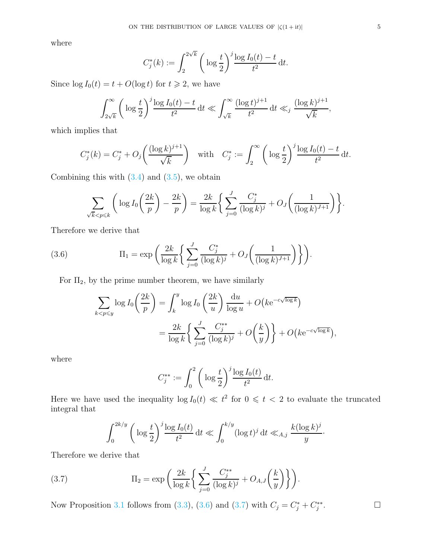where

$$
C_j^*(k) := \int_2^{2\sqrt{k}} \left( \log \frac{t}{2} \right)^j \frac{\log I_0(t) - t}{t^2} dt.
$$

Since  $\log I_0(t) = t + O(\log t)$  for  $t \ge 2$ , we have

$$
\int_{2\sqrt{k}}^{\infty} \left( \log \frac{t}{2} \right)^j \frac{\log I_0(t) - t}{t^2} dt \ll \int_{\sqrt{k}}^{\infty} \frac{(\log t)^{j+1}}{t^2} dt \ll_j \frac{(\log k)^{j+1}}{\sqrt{k}},
$$

which implies that

$$
C_j^*(k) = C_j^* + O_j\left(\frac{(\log k)^{j+1}}{\sqrt{k}}\right) \text{ with } C_j^* := \int_2^\infty \left(\log \frac{t}{2}\right)^j \frac{\log I_0(t) - t}{t^2} dt.
$$

Combining this with  $(3.4)$  and  $(3.5)$ , we obtain

$$
\sum_{\sqrt{k} < p \leq k} \left( \log I_0 \left( \frac{2k}{p} \right) - \frac{2k}{p} \right) = \frac{2k}{\log k} \left\{ \sum_{j=0}^J \frac{C_j^*}{(\log k)^j} + O_J \left( \frac{1}{(\log k)^{J+1}} \right) \right\}.
$$

Therefore we derive that

(3.6) 
$$
\Pi_1 = \exp\left(\frac{2k}{\log k} \left\{ \sum_{j=0}^J \frac{C_j^*}{(\log k)^j} + O_J\left(\frac{1}{(\log k)^{J+1}}\right) \right\} \right).
$$

For  $\Pi_2$ , by the prime number theorem, we have similarly

<span id="page-4-0"></span>
$$
\sum_{k < p \le y} \log I_0 \left(\frac{2k}{p}\right) = \int_k^y \log I_0 \left(\frac{2k}{u}\right) \frac{du}{\log u} + O\left(k e^{-c\sqrt{\log k}}\right)
$$

$$
= \frac{2k}{\log k} \left\{ \sum_{j=0}^J \frac{C_j^{**}}{(\log k)^j} + O\left(\frac{k}{y}\right) \right\} + O\left(k e^{-c\sqrt{\log k}}\right),
$$

where

$$
C_j^{**} := \int_0^2 \bigg( \log \frac{t}{2} \bigg)^j \frac{\log I_0(t)}{t^2} \, \mathrm{d}t.
$$

Here we have used the inequality  $\log I_0(t) \ll t^2$  for  $0 \leq t < 2$  to evaluate the truncated integral that

<span id="page-4-1"></span>
$$
\int_0^{2k/y} \left( \log \frac{t}{2} \right)^j \frac{\log I_0(t)}{t^2} \, \mathrm{d}t \ll \int_0^{k/y} (\log t)^j \, \mathrm{d}t \ll_{A,j} \frac{k (\log k)^j}{y}.
$$

Therefore we derive that

(3.7) 
$$
\Pi_2 = \exp\left(\frac{2k}{\log k} \left\{ \sum_{j=0}^J \frac{C_j^{**}}{(\log k)^j} + O_{A,J}\left(\frac{k}{y}\right) \right\} \right).
$$

Now Proposition [3.1](#page-3-0) follows from [\(3.3\)](#page-3-4), [\(3.6\)](#page-4-0) and [\(3.7\)](#page-4-1) with  $C_j = C_j^* + C_j^{**}$ 

 $\Box$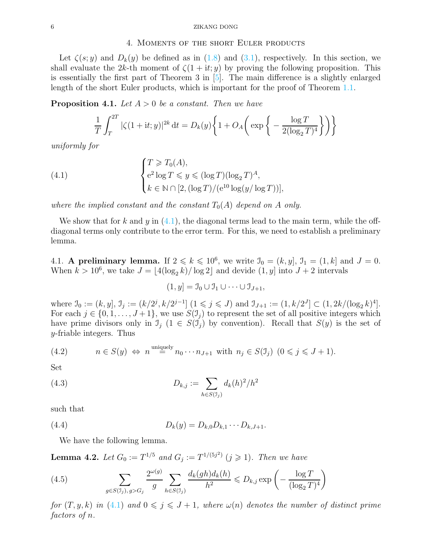#### 4. Moments of the short Euler products

Let  $\zeta(s; y)$  and  $D_k(y)$  be defined as in [\(1.8\)](#page-1-4) and [\(3.1\)](#page-2-1), respectively. In this section, we shall evaluate the 2k-th moment of  $\zeta(1 + it; y)$  by proving the following proposition. This is essentially the first part of Theorem 3 in [\[5\]](#page-16-3). The main difference is a slightly enlarged length of the short Euler products, which is important for the proof of Theorem [1.1.](#page-1-2)

<span id="page-5-0"></span>**Proposition 4.1.** Let  $A > 0$  be a constant. Then we have

<span id="page-5-1"></span>
$$
\frac{1}{T} \int_T^{2T} |\zeta(1+it; y)|^{2k} dt = D_k(y) \left\{ 1 + O_A\left(\exp\left\{-\frac{\log T}{2(\log_2 T)^4}\right\}\right) \right\}
$$

uniformly for

(4.1) 
$$
\begin{cases} T \geq T_0(A), \\ e^2 \log T \leq y \leq (\log T)(\log_2 T)^A, \\ k \in \mathbb{N} \cap [2, (\log T)/(\mathrm{e}^{10} \log(y/\log T))], \end{cases}
$$

where the implied constant and the constant  $T_0(A)$  depend on A only.

We show that for k and y in  $(4.1)$ , the diagonal terms lead to the main term, while the offdiagonal terms only contribute to the error term. For this, we need to establish a preliminary lemma.

4.1. A preliminary lemma. If  $2 \le k \le 10^6$ , we write  $\mathcal{I}_0 = (k, y]$ ,  $\mathcal{I}_1 = (1, k]$  and  $J = 0$ . When  $k > 10^6$ , we take  $J = \lfloor 4(\log_2 k)/\log 2 \rfloor$  and devide  $(1, y]$  into  $J + 2$  intervals

$$
(1, y] = \mathcal{I}_0 \cup \mathcal{I}_1 \cup \cdots \cup \mathcal{I}_{J+1},
$$

where  $\mathcal{I}_0 := (k, y], \mathcal{I}_j := (k/2^j, k/2^{j-1}] \ (1 \leq j \leq J)$  and  $\mathcal{I}_{J+1} := (1, k/2^J] \subset (1, 2k/(\log_2 k)^4]$ . For each  $j \in \{0, 1, \ldots, J+1\}$ , we use  $S(\mathcal{I}_j)$  to represent the set of all positive integers which have prime divisors only in  $\mathcal{I}_i$  ( $1 \in S(\mathcal{I}_i)$  by convention). Recall that  $S(y)$  is the set of y-friable integers. Thus

<span id="page-5-4"></span>(4.2) 
$$
n \in S(y) \Leftrightarrow n^{\text{uniquely}} n_0 \cdots n_{J+1} \text{ with } n_j \in S(\mathcal{I}_j) \ (0 \leq j \leq J+1).
$$

Set

(4.3) 
$$
D_{k,j} := \sum_{h \in S(\mathfrak{I}_j)} d_k(h)^2 / h^2
$$

such that

(4.4) 
$$
D_k(y) = D_{k,0}D_{k,1}\cdots D_{k,J+1}.
$$

We have the following lemma.

<span id="page-5-3"></span>**Lemma 4.2.** Let  $G_0 := T^{1/5}$  and  $G_j := T^{1/(5j^2)}$   $(j \ge 1)$ . Then we have

<span id="page-5-2"></span>(4.5) 
$$
\sum_{g \in S(\mathcal{I}_j), g > G_j} \frac{2^{\omega(g)}}{g} \sum_{h \in S(\mathcal{I}_j)} \frac{d_k(gh) d_k(h)}{h^2} \leq D_{k,j} \exp\left(-\frac{\log T}{(\log_2 T)^4}\right)
$$

for  $(T, y, k)$  in  $(4.1)$  and  $0 \leq j \leq J + 1$ , where  $\omega(n)$  denotes the number of distinct prime factors of n.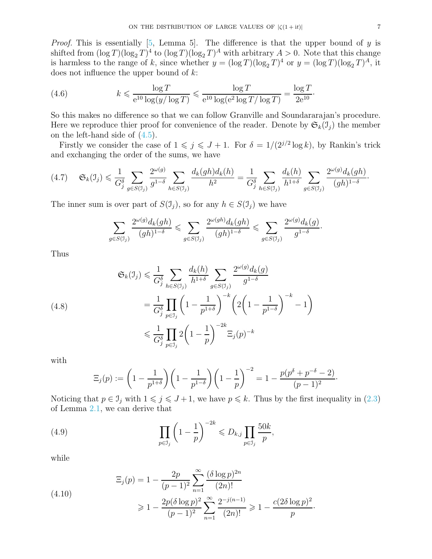*Proof.* This is essentially [\[5,](#page-16-3) Lemma 5]. The difference is that the upper bound of y is shifted from  $(\log T)(\log_2 T)^4$  to  $(\log T)(\log_2 T)^A$  with arbitrary  $A > 0$ . Note that this change is harmless to the range of k, since whether  $y = (\log T)(\log_2 T)^4$  or  $y = (\log T)(\log_2 T)^A$ , it does not influence the upper bound of k:

<span id="page-6-2"></span>(4.6) 
$$
k \leqslant \frac{\log T}{e^{10} \log(y/\log T)} \leqslant \frac{\log T}{e^{10} \log(e^2 \log T/\log T)} = \frac{\log T}{2e^{10}}.
$$

So this makes no difference so that we can follow Granville and Soundararajan's procedure. Here we reproduce thier proof for convenience of the reader. Denote by  $\mathfrak{S}_k(\mathfrak{I}_i)$  the member on the left-hand side of  $(4.5)$ .

Firstly we consider the case of  $1 \leq j \leq J+1$ . For  $\delta = 1/(2^{j/2} \log k)$ , by Rankin's trick and exchanging the order of the sums, we have

$$
(4.7) \quad \mathfrak{S}_k(\mathfrak{I}_j) \leq \frac{1}{G_j^{\delta}} \sum_{g \in S(\mathfrak{I}_j)} \frac{2^{\omega(g)}}{g^{1-\delta}} \sum_{h \in S(\mathfrak{I}_j)} \frac{d_k(gh) d_k(h)}{h^2} = \frac{1}{G_j^{\delta}} \sum_{h \in S(\mathfrak{I}_j)} \frac{d_k(h)}{h^{1+\delta}} \sum_{g \in S(\mathfrak{I}_j)} \frac{2^{\omega(g)} d_k(gh)}{(gh)^{1-\delta}}.
$$

The inner sum is over part of  $S(\mathcal{I}_i)$ , so for any  $h \in S(\mathcal{I}_i)$  we have

$$
\sum_{g\in S(\mathfrak{I}_j)}\frac{2^{\omega(g)}d_k(gh)}{(gh)^{1-\delta}}\leqslant \sum_{g\in S(\mathfrak{I}_j)}\frac{2^{\omega(gh)}d_k(gh)}{(gh)^{1-\delta}}\leqslant \sum_{g\in S(\mathfrak{I}_j)}\frac{2^{\omega(g)}d_k(g)}{g^{1-\delta}}.
$$

Thus

$$
\mathfrak{S}_{k}(\mathcal{I}_{j}) \leq \frac{1}{G_{j}^{\delta}} \sum_{h \in S(\mathcal{I}_{j})} \frac{d_{k}(h)}{h^{1+\delta}} \sum_{g \in S(\mathcal{I}_{j})} \frac{2^{\omega(g)} d_{k}(g)}{g^{1-\delta}}
$$
\n
$$
= \frac{1}{G_{j}^{\delta}} \prod_{p \in \mathcal{I}_{j}} \left(1 - \frac{1}{p^{1+\delta}}\right)^{-k} \left(2\left(1 - \frac{1}{p^{1-\delta}}\right)^{-k} - 1\right)
$$
\n
$$
\leq \frac{1}{G_{j}^{\delta}} \prod_{p \in \mathcal{I}_{j}} 2\left(1 - \frac{1}{p}\right)^{-2k} \Xi_{j}(p)^{-k}
$$

with

<span id="page-6-0"></span>
$$
\Xi_j(p) := \left(1 - \frac{1}{p^{1+\delta}}\right) \left(1 - \frac{1}{p^{1-\delta}}\right) \left(1 - \frac{1}{p}\right)^{-2} = 1 - \frac{p(p^{\delta} + p^{-\delta} - 2)}{(p-1)^2}.
$$

Noticing that  $p \in \mathcal{I}_j$  with  $1 \leq j \leq J+1$ , we have  $p \leq k$ . Thus by the first inequality in [\(2.3\)](#page-2-2) of Lemma [2.1,](#page-2-0) we can derive that

(4.9) 
$$
\prod_{p \in J_j} \left(1 - \frac{1}{p}\right)^{-2k} \leqslant D_{k,j} \prod_{p \in J_j} \frac{50k}{p},
$$

while

<span id="page-6-1"></span>
$$
\Xi_j(p) = 1 - \frac{2p}{(p-1)^2} \sum_{n=1}^{\infty} \frac{(\delta \log p)^{2n}}{(2n)!}
$$
\n
$$
\geq 1 - \frac{2p(\delta \log p)^2}{(p-1)^2} \sum_{n=1}^{\infty} \frac{2^{-j(n-1)}}{(2n)!} \geq 1 - \frac{c(2\delta \log p)^2}{p}.
$$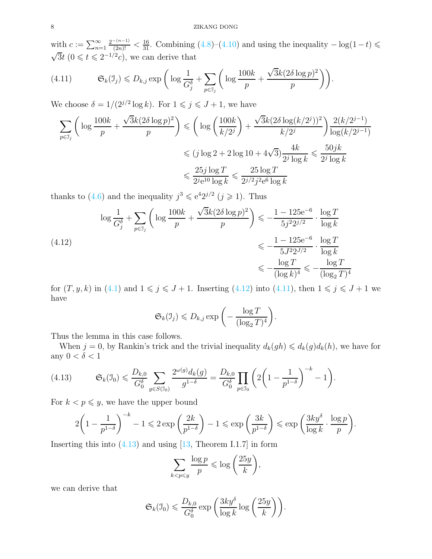with  $c := \sum_{n=1}^{\infty}$  $\frac{2^{-(n-1)}}{(2n)!} < \frac{16}{31}$ . Combining  $(4.8)$ – $(4.10)$  and using the inequality  $-\log(1-t)$  $\sqrt{3}t$   $(0 \le t \le 2^{-1/2}c)$ , we can derive that

<span id="page-7-1"></span>(4.11) 
$$
\mathfrak{S}_k(\mathfrak{I}_j) \leq D_{k,j} \exp\bigg(\log \frac{1}{G_j^{\delta}} + \sum_{p \in \mathfrak{I}_j} \bigg(\log \frac{100k}{p} + \frac{\sqrt{3}k(2\delta \log p)^2}{p}\bigg)\bigg).
$$

We choose  $\delta = 1/(2^{j/2} \log k)$ . For  $1 \leq j \leq J+1$ , we have

$$
\sum_{p \in \mathcal{I}_j} \left( \log \frac{100k}{p} + \frac{\sqrt{3}k(2\delta \log p)^2}{p} \right) \leqslant \left( \log \left( \frac{100k}{k/2^j} \right) + \frac{\sqrt{3}k(2\delta \log (k/2^j))^2}{k/2^j} \right) \frac{2(k/2^{j-1})}{\log (k/2^{j-1})}
$$

$$
\leqslant (j \log 2 + 2 \log 10 + 4\sqrt{3}) \frac{4k}{2^j \log k} \leqslant \frac{50jk}{2^j \log k}
$$

$$
\leqslant \frac{25j \log T}{2^{j} \log k} \leqslant \frac{25 \log T}{2^{j/2} j^2 e^6 \log k}
$$

thanks to [\(4.6\)](#page-6-2) and the inequality  $j^3 \leqslant e^{4} 2^{j/2}$  ( $j \geqslant 1$ ). Thus

<span id="page-7-0"></span>
$$
\log \frac{1}{G_j^{\delta}} + \sum_{p \in \mathcal{I}_j} \left( \log \frac{100k}{p} + \frac{\sqrt{3}k(2\delta \log p)^2}{p} \right) \leq -\frac{1 - 125e^{-6}}{5j^2 2^{j/2}} \cdot \frac{\log T}{\log k}
$$
\n
$$
\leq -\frac{1 - 125e^{-6}}{5j^2 2^{j/2}} \cdot \frac{\log T}{\log k}
$$
\n
$$
\leq -\frac{\log T}{(\log k)^4} \leq -\frac{\log T}{(\log_2 T)^4}
$$

for  $(T, y, k)$  in  $(4.1)$  and  $1 \leqslant j \leqslant J + 1$ . Inserting  $(4.12)$  into  $(4.11)$ , then  $1 \leqslant j \leqslant J + 1$  we have

$$
\mathfrak{S}_k(\mathfrak{I}_j) \leq D_{k,j} \exp\bigg(-\frac{\log T}{(\log_2 T)^4}\bigg).
$$

Thus the lemma in this case follows.

When  $j = 0$ , by Rankin's trick and the trivial inequality  $d_k(gh) \leq d_k(g)d_k(h)$ , we have for any  $0 < \delta < 1$ 

<span id="page-7-2"></span>(4.13) 
$$
\mathfrak{S}_k(\mathfrak{I}_0) \leq \frac{D_{k,0}}{G_0^{\delta}} \sum_{g \in S(\mathfrak{I}_0)} \frac{2^{\omega(g)} d_k(g)}{g^{1-\delta}} = \frac{D_{k,0}}{G_0^{\delta}} \prod_{p \in \mathfrak{I}_0} \left(2\left(1 - \frac{1}{p^{1-\delta}}\right)^{-k} - 1\right).
$$

For  $k < p \leq y$ , we have the upper bound

$$
2\left(1-\frac{1}{p^{1-\delta}}\right)^{-k} - 1 \leqslant 2\exp\left(\frac{2k}{p^{1-\delta}}\right) - 1 \leqslant \exp\left(\frac{3k}{p^{1-\delta}}\right) \leqslant \exp\left(\frac{3ky^{\delta}}{\log k}\cdot\frac{\log p}{p}\right).
$$

Inserting this into  $(4.13)$  and using [\[13,](#page-16-13) Theorem I.1.7] in form

$$
\sum_{k < p \leqslant y} \frac{\log p}{p} \leqslant \log \left( \frac{25y}{k} \right),
$$

we can derive that

$$
\mathfrak{S}_k(\mathfrak{I}_0) \leqslant \frac{D_{k,0}}{G_0^{\delta}} \exp\bigg(\frac{3ky^{\delta}}{\log k} \log\bigg(\frac{25y}{k}\bigg)\bigg).
$$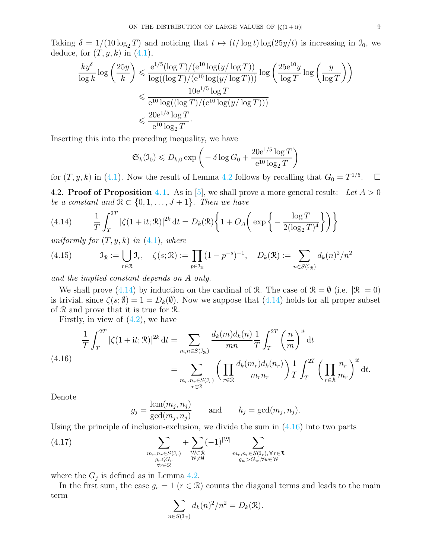Taking  $\delta = 1/(10 \log_2 T)$  and noticing that  $t \mapsto (t/\log t) \log(25y/t)$  is increasing in  $\mathcal{I}_0$ , we deduce, for  $(T, y, k)$  in  $(4.1)$ ,

$$
\frac{ky^{\delta}}{\log k} \log \left(\frac{25y}{k}\right) \leq \frac{e^{1/5}(\log T)/(e^{10}\log(y/\log T))}{\log((\log T)/(e^{10}\log(y/\log T)))} \log \left(\frac{25e^{10}y}{\log T}\log\left(\frac{y}{\log T}\right)\right)
$$

$$
\leq \frac{10e^{1/5}\log T}{e^{10}\log((\log T)/(e^{10}\log(y/\log T)))}
$$

$$
\leq \frac{20e^{1/5}\log T}{e^{10}\log_2 T}.
$$

Inserting this into the preceding inequality, we have

$$
\mathfrak{S}_k(\mathfrak{I}_0) \leq D_{k,0} \exp\left(-\delta \log G_0 + \frac{20e^{1/5} \log T}{e^{10} \log_2 T}\right)
$$

for  $(T, y, k)$  in [\(4.1\)](#page-5-1). Now the result of Lemma [4.2](#page-5-3) follows by recalling that  $G_0 = T^{1/5}$ .

4.2. **Proof of Proposition [4.1.](#page-5-0)** As in [\[5\]](#page-16-3), we shall prove a more general result: Let  $A > 0$ be a constant and  $\mathcal{R} \subset \{0, 1, \ldots, J+1\}$ . Then we have

<span id="page-8-0"></span>(4.14) 
$$
\frac{1}{T} \int_{T}^{2T} |\zeta(1+it; \mathcal{R})|^{2k} dt = D_k(\mathcal{R}) \left\{ 1 + O_A\left( \exp \left\{ -\frac{\log T}{2(\log_2 T)^4} \right\} \right) \right\}
$$

uniformly for  $(T, y, k)$  in  $(4.1)$ , where

<span id="page-8-3"></span>(4.15) 
$$
\mathcal{I}_{\mathcal{R}} := \bigcup_{r \in \mathcal{R}} \mathcal{I}_r, \quad \zeta(s; \mathcal{R}) := \prod_{p \in \mathcal{I}_{\mathcal{R}}} (1 - p^{-s})^{-1}, \quad D_k(\mathcal{R}) := \sum_{n \in S(\mathcal{I}_{\mathcal{R}})} d_k(n)^2/n^2
$$

and the implied constant depends on A only.

We shall prove [\(4.14\)](#page-8-0) by induction on the cardinal of R. The case of  $\mathcal{R} = \emptyset$  (i.e.  $|\mathcal{R}| = 0$ ) is trivial, since  $\zeta(s;\emptyset) = 1 = D_k(\emptyset)$ . Now we suppose that  $(4.14)$  holds for all proper subset of R and prove that it is true for R.

Firstly, in view of  $(4.2)$ , we have

<span id="page-8-1"></span>
$$
\frac{1}{T} \int_{T}^{2T} |\zeta(1+it; \mathcal{R})|^{2k} dt = \sum_{m,n \in S(\mathcal{I}_{\mathcal{R}})} \frac{d_k(m)d_k(n)}{mn} \frac{1}{T} \int_{T}^{2T} \left(\frac{n}{m}\right)^{it} dt
$$
\n
$$
= \sum_{m_r, n_r \in S(\mathcal{I}_r)} \left(\prod_{r \in \mathcal{R}} \frac{d_k(m_r)d_k(n_r)}{m_r n_r}\right) \frac{1}{T} \int_{T}^{2T} \left(\prod_{r \in \mathcal{R}} \frac{n_r}{m_r}\right)^{it} dt.
$$

Denote

$$
g_j = \frac{\text{lcm}(m_j, n_j)}{\text{gcd}(m_j, n_j)} \quad \text{and} \quad h_j = \text{gcd}(m_j, n_j).
$$

Using the principle of inclusion-exclusion, we divide the sum in  $(4.16)$  into two parts

<span id="page-8-2"></span>(4.17) 
$$
\sum_{\substack{m_r, n_r \in S(\mathcal{I}_r) \\ g_r \leq G_r \\ \forall r \in \mathcal{R}}} + \sum_{\substack{W \subset \mathcal{R} \\ W \neq \emptyset}} (-1)^{|W|} \sum_{\substack{m_r, n_r \in S(\mathcal{I}_r), \forall r \in \mathcal{R} \\ g_w > G_w, \forall w \in W}}.
$$

where the  $G_j$  is defined as in Lemma [4.2.](#page-5-3)

In the first sum, the case  $g_r = 1$  ( $r \in \mathcal{R}$ ) counts the diagonal terms and leads to the main term

$$
\sum_{n \in S(\mathfrak{I}_{\mathfrak{R}})} d_k(n)^2 / n^2 = D_k(\mathfrak{R}).
$$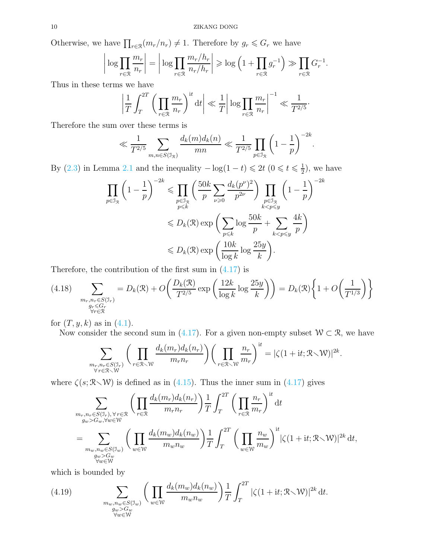Otherwise, we have  $\prod_{r \in \mathcal{R}} (m_r/n_r) \neq 1$ . Therefore by  $g_r \leq G_r$  we have

$$
\left| \log \prod_{r \in \mathcal{R}} \frac{m_r}{n_r} \right| = \left| \log \prod_{r \in \mathcal{R}} \frac{m_r/h_r}{n_r/h_r} \right| \geqslant \log \left( 1 + \prod_{r \in \mathcal{R}} g_r^{-1} \right) \gg \prod_{r \in \mathcal{R}} G_r^{-1}.
$$

Thus in these terms we have

$$
\left|\frac{1}{T}\int_{T}^{2T}\bigg(\prod_{r\in\mathcal{R}}\frac{m_{r}}{n_{r}}\bigg)^{\mathrm{i}t}\,\mathrm{d}t\right| \ll \frac{1}{T}\bigg|\log\prod_{r\in\mathcal{R}}\frac{m_{r}}{n_{r}}\bigg|^{-1} \ll \frac{1}{T^{2/5}}.
$$

Therefore the sum over these terms is

$$
\ll \frac{1}{T^{2/5}} \sum_{m,n \in S(\mathbb{J}_{\mathbb{R}})} \frac{d_k(m) d_k(n)}{mn} \ll \frac{1}{T^{2/5}} \prod_{p \in \mathbb{J}_{\mathbb{R}}} \left(1 - \frac{1}{p}\right)^{-2k}.
$$

By [\(2.3\)](#page-2-2) in Lemma [2.1](#page-2-0) and the inequality  $-\log(1-t) \leq 2t \left(0 \leq t \leq \frac{1}{2}\right)$  $(\frac{1}{2})$ , we have

$$
\prod_{p \in \mathcal{I}_{\mathcal{R}}} \left(1 - \frac{1}{p}\right)^{-2k} \leq \prod_{p \in \mathcal{I}_{\mathcal{R}}} \left(\frac{50k}{p} \sum_{\nu \geq 0} \frac{d_k(p^{\nu})^2}{p^{2\nu}}\right) \prod_{\substack{p \in \mathcal{I}_{\mathcal{R}} \\ k < p \leq y}} \left(1 - \frac{1}{p}\right)^{-2k}
$$
\n
$$
\leq D_k(\mathcal{R}) \exp\left(\sum_{p \leq k} \log \frac{50k}{p} + \sum_{k < p \leq y} \frac{4k}{p}\right)
$$
\n
$$
\leq D_k(\mathcal{R}) \exp\left(\frac{10k}{\log k} \log \frac{25y}{k}\right).
$$

Therefore, the contribution of the first sum in  $(4.17)$  is

<span id="page-9-1"></span>
$$
(4.18)\quad \sum_{\substack{m_r, n_r \in S(\mathbb{J}_r) \\ g_r \le G_r \\ \forall r \in \mathbb{R}}} = D_k(\mathcal{R}) + O\left(\frac{D_k(\mathcal{R})}{T^{2/5}} \exp\left(\frac{12k}{\log k} \log \frac{25y}{k}\right)\right) = D_k(\mathcal{R}) \left\{1 + O\left(\frac{1}{T^{1/3}}\right)\right\}
$$

for  $(T, y, k)$  as in  $(4.1)$ .

Now consider the second sum in [\(4.17\)](#page-8-2). For a given non-empty subset  $W \subset \mathcal{R}$ , we have

$$
\sum_{\substack{m_r, n_r \in S(\mathcal{I}_r) \\ \forall r \in \mathcal{R} \smallsetminus \mathcal{W}}} \bigg( \prod_{r \in \mathcal{R} \smallsetminus \mathcal{W}} \frac{d_k(m_r) d_k(n_r)}{m_r n_r} \bigg) \bigg( \prod_{r \in \mathcal{R} \smallsetminus \mathcal{W}} \frac{n_r}{m_r} \bigg)^{\mathrm{i}t} = |\zeta(1 + \mathrm{i}t; \mathcal{R} \smallsetminus \mathcal{W})|^{2k}.
$$

where  $\zeta(s; \mathcal{R}\setminus\mathcal{W})$  is defined as in [\(4.15\)](#page-8-3). Thus the inner sum in [\(4.17\)](#page-8-2) gives

$$
\sum_{\substack{m_r, n_r \in S(\mathcal{I}_r), \forall r \in \mathcal{R} \\ g_w > G_w, \forall w \in \mathcal{W}}} \left( \prod_{r \in \mathcal{R}} \frac{d_k(m_r) d_k(n_r)}{m_r n_r} \right) \frac{1}{T} \int_T^{2T} \left( \prod_{r \in \mathcal{R}} \frac{n_r}{m_r} \right)^{it} dt
$$
\n
$$
= \sum_{\substack{m_w, n_w \in S(\mathcal{I}_w) \\ g_w > G_w \\ \forall w \in \mathcal{W}}} \left( \prod_{w \in \mathcal{W}} \frac{d_k(m_w) d_k(n_w)}{m_w n_w} \right) \frac{1}{T} \int_T^{2T} \left( \prod_{w \in \mathcal{W}} \frac{n_w}{m_w} \right)^{it} |\zeta(1+it; \mathcal{R} \setminus \mathcal{W})|^{2k} dt,
$$

which is bounded by

<span id="page-9-0"></span>(4.19) 
$$
\sum_{\substack{m_w, n_w \in S(\mathcal{I}_w) \\ g_w > G_w \\ \forall w \in \mathbb{W}}} \left( \prod_{w \in \mathbb{W}} \frac{d_k(m_w) d_k(n_w)}{m_w n_w} \right) \frac{1}{T} \int_T^{2T} |\zeta(1+it; \mathcal{R} \setminus \mathcal{W})|^{2k} dt.
$$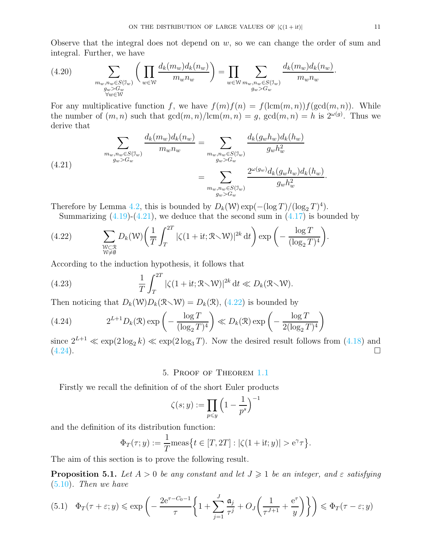Observe that the integral does not depend on  $w$ , so we can change the order of sum and integral. Further, we have

(4.20) 
$$
\sum_{\substack{m_w, n_w \in S(\mathcal{I}_w) \\ g_w > G_w \\ \forall w \in \mathbb{W}}} \left( \prod_{w \in \mathbb{W}} \frac{d_k(m_w) d_k(n_w)}{m_w n_w} \right) = \prod_{w \in \mathbb{W}} \sum_{\substack{m_w, n_w \in S(\mathcal{I}_w) \\ g_w > G_w}} \frac{d_k(m_w) d_k(n_w)}{m_w n_w}.
$$

For any multiplicative function f, we have  $f(m)f(n) = f(\text{lcm}(m, n))f(\text{gcd}(m, n))$ . While the number of  $(m, n)$  such that  $gcd(m, n)/lcm(m, n) = g$ ,  $gcd(m, n) = h$  is  $2^{\omega(g)}$ . Thus we derive that

<span id="page-10-1"></span>(4.21) 
$$
\sum_{\substack{m_w, n_w \in S(\mathcal{I}_w) \\ g_w > G_w}} \frac{d_k(m_w) d_k(n_w)}{m_w n_w} = \sum_{\substack{m_w, n_w \in S(\mathcal{I}_w) \\ g_w > G_w}} \frac{d_k(g_w h_w) d_k(h_w)}{g_w h_w^2} = \sum_{\substack{m_w, n_w \in S(\mathcal{I}_w) \\ g_w > G_w}} \frac{d_k(g_w h_w) d_k(h_w)}{g_w h_w^2} = \sum_{\substack{m_w, n_w \in S(\mathcal{I}_w) \\ g_w > G_w}} \frac{d_k(g_w h_w) d_k(h_w)}{g_w h_w^2}
$$

Therefore by Lemma [4.2,](#page-5-3) this is bounded by  $D_k(\mathcal{W}) \exp(-(\log T)/(\log_2 T)^4)$ .

Summarizing  $(4.19)-(4.21)$  $(4.19)-(4.21)$ , we deduce that the second sum in  $(4.17)$  is bounded by

<span id="page-10-2"></span>(4.22) 
$$
\sum_{\substack{W \subset \mathcal{R} \\ W \neq \emptyset}} D_k(W) \left( \frac{1}{T} \int_T^{2T} |\zeta(1+it; \mathcal{R} \setminus W)|^{2k} dt \right) \exp \left( - \frac{\log T}{(\log_2 T)^4} \right).
$$

According to the induction hypothesis, it follows that

(4.23) 
$$
\frac{1}{T} \int_{T}^{2T} |\zeta(1+it; \mathcal{R} \setminus \mathcal{W})|^{2k} dt \ll D_k(\mathcal{R} \setminus \mathcal{W}).
$$

Then noticing that  $D_k(\mathcal{W})D_k(\mathcal{R}\setminus\mathcal{W})=D_k(\mathcal{R}),$  [\(4.22\)](#page-10-2) is bounded by

<span id="page-10-3"></span>(4.24) 
$$
2^{L+1}D_k(\mathcal{R}) \exp\left(-\frac{\log T}{(\log_2 T)^4}\right) \ll D_k(\mathcal{R}) \exp\left(-\frac{\log T}{2(\log_2 T)^4}\right)
$$

since  $2^{L+1} \ll \exp(2 \log_2 k) \ll \exp(2 \log_3 T)$ . Now the desired result follows from [\(4.18\)](#page-9-1) and (4.24).  $(4.24)$ .

## 5. Proof of Theorem [1.1](#page-1-2)

Firstly we recall the definition of of the short Euler products

$$
\zeta(s; y) := \prod_{p \leq y} \left( 1 - \frac{1}{p^s} \right)^{-1}
$$

and the definition of its distribution function:

$$
\Phi_T(\tau; y) := \frac{1}{T} \text{meas} \{ t \in [T, 2T] : |\zeta(1 + \mathrm{i}t; y)| > e^{\gamma} \tau \}.
$$

The aim of this section is to prove the following result.

<span id="page-10-0"></span>**Proposition 5.1.** Let  $A > 0$  be any constant and let  $J \geq 1$  be an integer, and  $\varepsilon$  satisfying [\(5.10\)](#page-13-0). Then we have

$$
(5.1) \quad \Phi_T(\tau + \varepsilon; y) \le \exp\left(-\frac{2e^{\tau - C_0 - 1}}{\tau} \left\{1 + \sum_{j=1}^J \frac{\mathfrak{a}_j}{\tau^j} + O_J\left(\frac{1}{\tau^{J+1}} + \frac{e^{\tau}}{y}\right)\right\}\right) \le \Phi_T(\tau - \varepsilon; y)
$$

·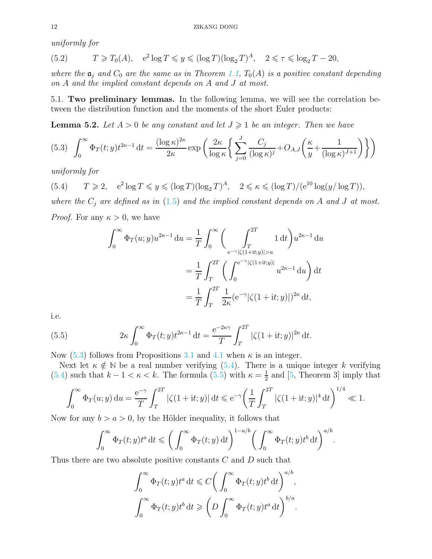uniformly for

(5.2) 
$$
T \geq T_0(A)
$$
,  $e^2 \log T \leq y \leq (\log T)(\log_2 T)^A$ ,  $2 \leq \tau \leq \log_2 T - 20$ ,

where the  $a_i$  and  $C_0$  are the same as in Theorem [1.1,](#page-1-2)  $T_0(A)$  is a positive constant depending on A and the implied constant depends on A and J at most.

5.1. Two preliminary lemmas. In the following lemma, we will see the correlation between the distribution function and the moments of the short Euler products:

<span id="page-11-3"></span>**Lemma 5.2.** Let  $A > 0$  be any constant and let  $J \geq 1$  be an integer. Then we have

<span id="page-11-0"></span>
$$
(5.3)\quad \int_0^\infty \Phi_T(t; y) t^{2\kappa - 1} dt = \frac{(\log \kappa)^{2\kappa}}{2\kappa} \exp\left(\frac{2\kappa}{\log \kappa} \left\{ \sum_{j=0}^J \frac{C_j}{(\log \kappa)^j} + O_{A,J} \left( \frac{\kappa}{y} + \frac{1}{(\log \kappa)^{J+1}} \right) \right\} \right)
$$

uniformly for

<span id="page-11-1"></span>(5.4) 
$$
T \ge 2
$$
,  $e^2 \log T \le y \le (\log T)(\log_2 T)^A$ ,  $2 \le \kappa \le (\log T)/(\mathrm{e}^{10} \log(y/\log T))$ ,

where the  $C_i$  are defined as in [\(1.5\)](#page-1-0) and the implied constant depends on A and J at most. *Proof.* For any  $\kappa > 0$ , we have

$$
\int_0^\infty \Phi_T(u; y) u^{2\kappa - 1} du = \frac{1}{T} \int_0^\infty \left( \int_{\frac{e^{-\gamma} |\zeta(1+it; y)| > u}{2\kappa - 1}}^{2T} 1 dt \right) u^{2\kappa - 1} du
$$

$$
= \frac{1}{T} \int_T^{2T} \left( \int_0^{\frac{e^{-\gamma} |\zeta(1+it; y)|}{2\kappa - 1}} u^{2\kappa - 1} du \right) dt
$$

$$
= \frac{1}{T} \int_T^{2T} \frac{1}{2\kappa} (e^{-\gamma} |\zeta(1+it; y)|)^{2\kappa} dt,
$$

i.e.

<span id="page-11-2"></span>(5.5) 
$$
2\kappa \int_0^\infty \Phi_T(t; y) t^{2\kappa - 1} dt = \frac{e^{-2\kappa \gamma}}{T} \int_T^{2T} |\zeta(1 + it; y)|^{2\kappa} dt.
$$

Now  $(5.3)$  follows from Propositions [3.1](#page-3-0) and [4.1](#page-5-0) when  $\kappa$  is an integer.

Next let  $\kappa \notin \mathbb{N}$  be a real number verifying [\(5.4\)](#page-11-1). There is a unique integer k verifying [\(5.4\)](#page-11-1) such that  $k - 1 < \kappa < k$ . The formula [\(5.5\)](#page-11-2) with  $\kappa = \frac{1}{2}$  $\frac{1}{2}$  and [\[5,](#page-16-3) Theorem 3] imply that

$$
\int_0^\infty \Phi_T(u; y) \, \mathrm{d}u = \frac{\mathrm{e}^{-\gamma}}{T} \int_T^{2T} |\zeta(1 + \mathrm{i}t; y)| \, \mathrm{d}t \leqslant \mathrm{e}^{-\gamma} \left( \frac{1}{T} \int_T^{2T} |\zeta(1 + \mathrm{i}t; y)|^4 \, \mathrm{d}t \right)^{1/4} \ll 1.
$$

Now for any  $b > a > 0$ , by the Hölder inequality, it follows that

$$
\int_0^\infty \Phi_T(t; y) t^a \, \mathrm{d}t \leqslant \bigg( \int_0^\infty \Phi_T(t; y) \, \mathrm{d}t \bigg)^{1 - a/b} \bigg( \int_0^\infty \Phi_T(t; y) t^b \, \mathrm{d}t \bigg)^{a/b}.
$$

Thus there are two absolute positive constants C and D such that

$$
\int_0^\infty \Phi_T(t; y) t^a \, \mathrm{d}t \leq C \bigg( \int_0^\infty \Phi_T(t; y) t^b \, \mathrm{d}t \bigg)^{a/b},
$$

$$
\int_0^\infty \Phi_T(t; y) t^b \, \mathrm{d}t \geqslant \bigg( D \int_0^\infty \Phi_T(t; y) t^a \, \mathrm{d}t \bigg)^{b/a}.
$$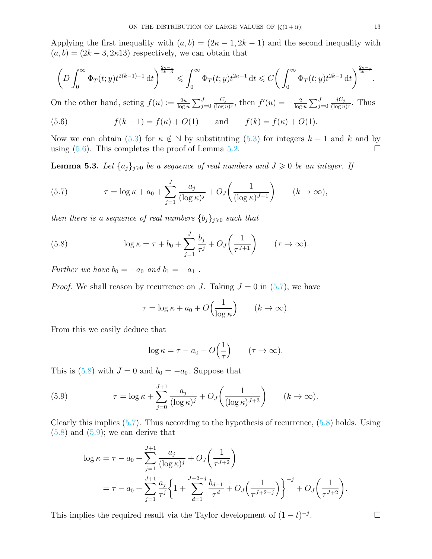Applying the first inequality with  $(a, b) = (2\kappa - 1, 2k - 1)$  and the second inequality with  $(a, b) = (2k - 3, 2k)$  respectively, we can obtain that

$$
\left(D\int_0^\infty \Phi_T(t;y)t^{2(k-1)-1}\,\mathrm{d} t\right)^{\frac{2\kappa-1}{2k-3}}\leqslant \int_0^\infty \Phi_T(t;y)t^{2\kappa-1}\,\mathrm{d} t\leqslant C\bigg(\int_0^\infty \Phi_T(t;y)t^{2k-1}\,\mathrm{d} t\bigg)^{\frac{2\kappa-1}{2k-1}}.
$$

On the other hand, seting  $f(u) := \frac{2u}{\log u} \sum_{j=0}^{J}$  $C_j$  $\frac{C_j}{(\log u)^j}$ , then  $f'(u) = -\frac{2}{\log u}$  $\frac{2}{\log u} \sum_{j=0}^{J}$  $jC_j$  $\frac{\jmath C_j}{(\log u)^j}$ . Thus

<span id="page-12-0"></span>(5.6) 
$$
f(k-1) = f(\kappa) + O(1)
$$
 and  $f(k) = f(\kappa) + O(1)$ .

Now we can obtain [\(5.3\)](#page-11-0) for  $\kappa \notin \mathbb{N}$  by substituting (5.3) for integers  $k - 1$  and k and by using (5.6). This completes the proof of Lemma 5.2. using  $(5.6)$ . This completes the proof of Lemma [5.2.](#page-11-3)

**Lemma 5.3.** Let  $\{a_j\}_{j\geqslant 0}$  be a sequence of real numbers and  $J \geqslant 0$  be an integer. If

<span id="page-12-1"></span>(5.7) 
$$
\tau = \log \kappa + a_0 + \sum_{j=1}^{J} \frac{a_j}{(\log \kappa)^j} + O_J\left(\frac{1}{(\log \kappa)^{J+1}}\right) \qquad (k \to \infty),
$$

then there is a sequence of real numbers  $\{b_j\}_{j\geqslant 0}$  such that

(5.8) 
$$
\log \kappa = \tau + b_0 + \sum_{j=1}^{J} \frac{b_j}{\tau^j} + O_J\left(\frac{1}{\tau^{J+1}}\right) \qquad (\tau \to \infty).
$$

Further we have  $b_0 = -a_0$  and  $b_1 = -a_1$ .

*Proof.* We shall reason by recurrence on J. Taking  $J = 0$  in  $(5.7)$ , we have

<span id="page-12-2"></span>
$$
\tau = \log \kappa + a_0 + O\left(\frac{1}{\log \kappa}\right) \qquad (k \to \infty).
$$

From this we easily deduce that

<span id="page-12-3"></span>
$$
\log \kappa = \tau - a_0 + O\left(\frac{1}{\tau}\right) \qquad (\tau \to \infty).
$$

This is [\(5.8\)](#page-12-2) with  $J = 0$  and  $b_0 = -a_0$ . Suppose that

(5.9) 
$$
\tau = \log \kappa + \sum_{j=0}^{J+1} \frac{a_j}{(\log \kappa)^j} + O_J\left(\frac{1}{(\log \kappa)^{J+3}}\right) \qquad (k \to \infty).
$$

Clearly this implies  $(5.7)$ . Thus according to the hypothesis of recurrence,  $(5.8)$  holds. Using  $(5.8)$  and  $(5.9)$ ; we can derive that

$$
\log \kappa = \tau - a_0 + \sum_{j=1}^{J+1} \frac{a_j}{(\log \kappa)^j} + O_J\left(\frac{1}{\tau^{J+2}}\right)
$$
  
=  $\tau - a_0 + \sum_{j=1}^{J+1} \frac{a_j}{\tau^j} \left\{ 1 + \sum_{d=1}^{J+2-j} \frac{b_{d-1}}{\tau^d} + O_J\left(\frac{1}{\tau^{J+2-j}}\right) \right\}^{-j} + O_J\left(\frac{1}{\tau^{J+2}}\right).$ 

This implies the required result via the Taylor development of  $(1-t)^{-j}$ 

.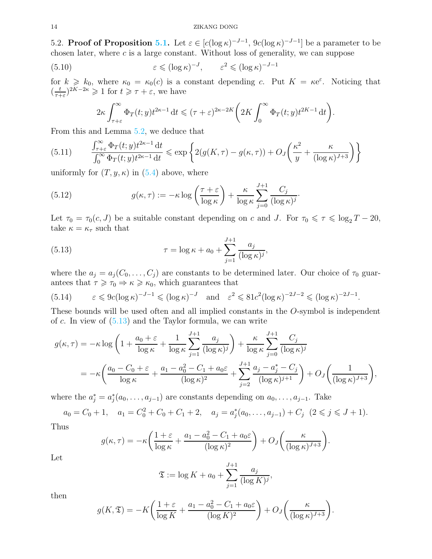#### 14 ZIKANG DONG

5.2. **Proof of Proposition [5.1.](#page-10-0)** Let  $\varepsilon \in [c(\log \kappa)^{-J-1}, 9c(\log \kappa)^{-J-1}]$  be a parameter to be chosen later, where  $c$  is a large constant. Without loss of generality, we can suppose

(5.10) 
$$
\varepsilon \leqslant (\log \kappa)^{-J}, \qquad \varepsilon^2 \leqslant (\log \kappa)^{-J-1}
$$

for  $k \geq k_0$ , where  $\kappa_0 = \kappa_0(c)$  is a constant depending c. Put  $K = \kappa e^{\varepsilon}$ . Noticing that  $\left(\frac{t}{\tau+1}\right)$  $(\frac{t}{\tau+\varepsilon})^{2K-2\kappa} \geq 1$  for  $t \geq \tau+\varepsilon$ , we have

<span id="page-13-0"></span>
$$
2\kappa \int_{\tau+\varepsilon}^{\infty} \Phi_T(t; y) t^{2\kappa-1} dt \leq (\tau+\varepsilon)^{2\kappa-2K} \bigg( 2K \int_0^{\infty} \Phi_T(t; y) t^{2K-1} dt \bigg).
$$

From this and Lemma [5.2,](#page-11-3) we deduce that

<span id="page-13-4"></span>(5.11) 
$$
\frac{\int_{\tau+\varepsilon}^{\infty} \Phi_T(t; y) t^{2\kappa-1} dt}{\int_0^{\infty} \Phi_T(t; y) t^{2\kappa-1} dt} \leq \exp \left\{ 2(g(K, \tau) - g(\kappa, \tau)) + O_J \left( \frac{\kappa^2}{y} + \frac{\kappa}{(\log \kappa)^{J+3}} \right) \right\}
$$

uniformly for  $(T, y, \kappa)$  in  $(5.4)$  above, where

<span id="page-13-3"></span>(5.12) 
$$
g(\kappa, \tau) := -\kappa \log \left( \frac{\tau + \varepsilon}{\log \kappa} \right) + \frac{\kappa}{\log \kappa} \sum_{j=0}^{J+1} \frac{C_j}{(\log \kappa)^j}
$$

Let  $\tau_0 = \tau_0(c, J)$  be a suitable constant depending on c and J. For  $\tau_0 \le \tau \le \log_2 T - 20$ , take  $\kappa = \kappa_{\tau}$  such that

·

<span id="page-13-1"></span>(5.13) 
$$
\tau = \log \kappa + a_0 + \sum_{j=1}^{J+1} \frac{a_j}{(\log \kappa)^j},
$$

where the  $a_j = a_j(C_0, \ldots, C_j)$  are constants to be determined later. Our choice of  $\tau_0$  guarantees that  $\tau \geq \tau_0 \Rightarrow \kappa \geq \kappa_0$ , which guarantees that

<span id="page-13-2"></span>(5.14) 
$$
\varepsilon \le 9c(\log \kappa)^{-J-1} \le (\log \kappa)^{-J}
$$
 and  $\varepsilon^2 \le 81c^2(\log \kappa)^{-2J-2} \le (\log \kappa)^{-2J-1}$ .

These bounds will be used often and all implied constants in the O-symbol is independent of  $c$ . In view of  $(5.13)$  and the Taylor formula, we can write

$$
g(\kappa, \tau) = -\kappa \log \left( 1 + \frac{a_0 + \varepsilon}{\log \kappa} + \frac{1}{\log \kappa} \sum_{j=1}^{J+1} \frac{a_j}{(\log \kappa)^j} \right) + \frac{\kappa}{\log \kappa} \sum_{j=0}^{J+1} \frac{C_j}{(\log \kappa)^j}
$$
  
= 
$$
-\kappa \left( \frac{a_0 - C_0 + \varepsilon}{\log \kappa} + \frac{a_1 - a_0^2 - C_1 + a_0 \varepsilon}{(\log \kappa)^2} + \sum_{j=2}^{J+1} \frac{a_j - a_j^* - C_j}{(\log \kappa)^{j+1}} \right) + O_J \left( \frac{1}{(\log \kappa)^{J+3}} \right),
$$

where the  $a_j^* = a_j^*(a_0, \ldots, a_{j-1})$  are constants depending on  $a_0, \ldots, a_{j-1}$ . Take

$$
a_0 = C_0 + 1
$$
,  $a_1 = C_0^2 + C_0 + C_1 + 2$ ,  $a_j = a_j^*(a_0, ..., a_{j-1}) + C_j$   $(2 \le j \le J+1)$ .

Thus

$$
g(\kappa,\tau) = -\kappa \left( \frac{1+\varepsilon}{\log \kappa} + \frac{a_1 - a_0^2 - C_1 + a_0 \varepsilon}{(\log \kappa)^2} \right) + O_J\left( \frac{\kappa}{(\log \kappa)^{J+3}} \right).
$$

Let

$$
\mathfrak{T} := \log K + a_0 + \sum_{j=1}^{J+1} \frac{a_j}{(\log K)^j},
$$

then

$$
g(K,\mathfrak{T}) = -K\bigg(\frac{1+\varepsilon}{\log K} + \frac{a_1 - a_0^2 - C_1 + a_0\varepsilon}{(\log K)^2}\bigg) + O_J\bigg(\frac{\kappa}{(\log \kappa)^{J+3}}\bigg).
$$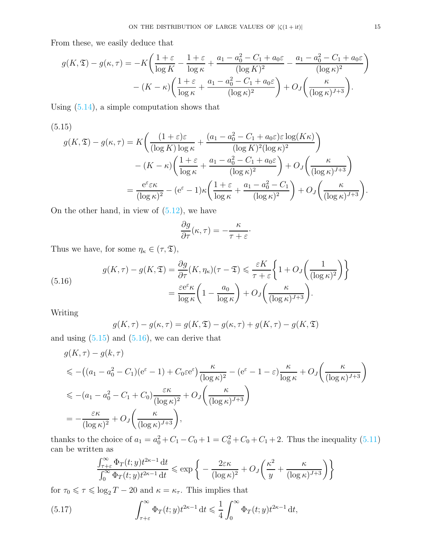From these, we easily deduce that

$$
g(K, \mathfrak{T}) - g(\kappa, \tau) = -K \left( \frac{1+\varepsilon}{\log K} - \frac{1+\varepsilon}{\log \kappa} + \frac{a_1 - a_0^2 - C_1 + a_0 \varepsilon}{(\log K)^2} - \frac{a_1 - a_0^2 - C_1 + a_0 \varepsilon}{(\log \kappa)^2} \right) - (K - \kappa) \left( \frac{1+\varepsilon}{\log \kappa} + \frac{a_1 - a_0^2 - C_1 + a_0 \varepsilon}{(\log \kappa)^2} \right) + O_J \left( \frac{\kappa}{(\log \kappa)^{J+3}} \right).
$$

Using [\(5.14\)](#page-13-2), a simple computation shows that

<span id="page-14-0"></span>(5.15)  
\n
$$
g(K, \mathfrak{T}) - g(\kappa, \tau) = K \left( \frac{(1+\varepsilon)\varepsilon}{(\log K) \log \kappa} + \frac{(a_1 - a_0^2 - C_1 + a_0 \varepsilon)\varepsilon \log(K\kappa)}{(\log K)^2 (\log \kappa)^2} \right)
$$
\n
$$
- (K - \kappa) \left( \frac{1+\varepsilon}{\log \kappa} + \frac{a_1 - a_0^2 - C_1 + a_0 \varepsilon}{(\log \kappa)^2} \right) + O_J \left( \frac{\kappa}{(\log \kappa)^{J+3}} \right)
$$
\n
$$
= \frac{e^{\varepsilon} \varepsilon \kappa}{(\log \kappa)^2} - (e^{\varepsilon} - 1)\kappa \left( \frac{1+\varepsilon}{\log \kappa} + \frac{a_1 - a_0^2 - C_1}{(\log \kappa)^2} \right) + O_J \left( \frac{\kappa}{(\log \kappa)^{J+3}} \right).
$$

On the other hand, in view of  $(5.12)$ , we have

$$
\frac{\partial g}{\partial \tau}(\kappa, \tau) = -\frac{\kappa}{\tau + \varepsilon}.
$$

Thus we have, for some  $\eta_{\kappa} \in (\tau, \mathfrak{T}),$ 

(5.16) 
$$
g(K,\tau) - g(K,\mathfrak{T}) = \frac{\partial g}{\partial \tau}(K,\eta_{\kappa})(\tau - \mathfrak{T}) \leq \frac{\varepsilon K}{\tau + \varepsilon} \left\{ 1 + O_{J}\left(\frac{1}{(\log \kappa)^{2}}\right) \right\}
$$

$$
= \frac{\varepsilon e^{\varepsilon} \kappa}{\log \kappa} \left( 1 - \frac{a_{0}}{\log \kappa} \right) + O_{J}\left(\frac{\kappa}{(\log \kappa)^{J+3}}\right).
$$

Writing

<span id="page-14-1"></span>
$$
g(K,\tau) - g(\kappa,\tau) = g(K,\mathfrak{T}) - g(\kappa,\tau) + g(K,\tau) - g(K,\mathfrak{T})
$$

and using  $(5.15)$  and  $(5.16)$ , we can derive that

$$
g(K,\tau) - g(k,\tau)
$$
  
\n
$$
\leq -\left( (a_1 - a_0^2 - C_1)(e^{\varepsilon} - 1) + C_0 \varepsilon e^{\varepsilon} \right) \frac{\kappa}{(\log \kappa)^2} - (e^{\varepsilon} - 1 - \varepsilon) \frac{\kappa}{\log \kappa} + O_J \left( \frac{\kappa}{(\log \kappa)^{J+3}} \right)
$$
  
\n
$$
\leq -\left( a_1 - a_0^2 - C_1 + C_0 \right) \frac{\varepsilon \kappa}{(\log \kappa)^2} + O_J \left( \frac{\kappa}{(\log \kappa)^{J+3}} \right)
$$
  
\n
$$
= -\frac{\varepsilon \kappa}{(\log \kappa)^2} + O_J \left( \frac{\kappa}{(\log \kappa)^{J+3}} \right),
$$

thanks to the choice of  $a_1 = a_0^2 + C_1 - C_0 + 1 = C_0^2 + C_0 + C_1 + 2$ . Thus the inequality [\(5.11\)](#page-13-4) can be written as

<span id="page-14-2"></span>
$$
\frac{\int_{\tau+\varepsilon}^{\infty} \Phi_T(t; y) t^{2\kappa-1} dt}{\int_0^{\infty} \Phi_T(t; y) t^{2\kappa-1} dt} \leqslant \exp\bigg\{-\frac{2\varepsilon\kappa}{(\log \kappa)^2} + O_J\bigg(\frac{\kappa^2}{y} + \frac{\kappa}{(\log \kappa)^{J+3}}\bigg)\bigg\}
$$

for  $\tau_0\leqslant\tau\leqslant\log_2 T-20$  and  $\kappa=\kappa_\tau.$  This implies that

(5.17) 
$$
\int_{\tau+\varepsilon}^{\infty} \Phi_T(t; y) t^{2\kappa-1} dt \leq \frac{1}{4} \int_0^{\infty} \Phi_T(t; y) t^{2\kappa-1} dt,
$$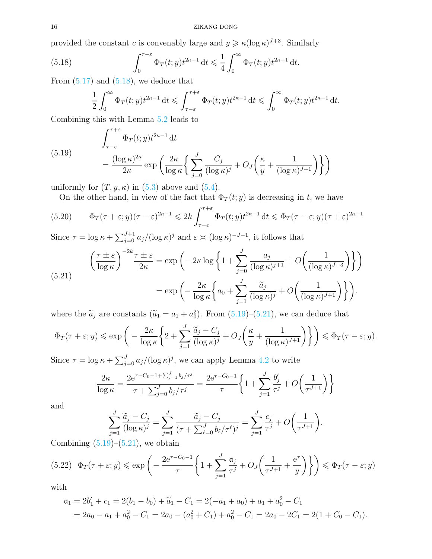provided the constant c is convenably large and  $y \geq \kappa (\log \kappa)^{J+3}$ . Similarly

(5.18) 
$$
\int_0^{\tau-\varepsilon} \Phi_T(t; y) t^{2\kappa-1} dt \leq \frac{1}{4} \int_0^{\infty} \Phi_T(t; y) t^{2\kappa-1} dt.
$$

From  $(5.17)$  and  $(5.18)$ , we deduce that

<span id="page-15-0"></span>
$$
\frac{1}{2} \int_0^\infty \Phi_T(t; y) t^{2\kappa - 1} dt \leqslant \int_{\tau - \varepsilon}^{\tau + \varepsilon} \Phi_T(t; y) t^{2\kappa - 1} dt \leqslant \int_0^\infty \Phi_T(t; y) t^{2\kappa - 1} dt.
$$

Combining this with Lemma [5.2](#page-11-3) leads to

<span id="page-15-1"></span>(5.19) 
$$
\int_{\tau-\varepsilon}^{\tau+\varepsilon} \Phi_T(t; y) t^{2\kappa-1} dt = \frac{(\log \kappa)^{2\kappa}}{2\kappa} \exp\left(\frac{2\kappa}{\log \kappa} \left\{ \sum_{j=0}^J \frac{C_j}{(\log \kappa)^j} + O_J\left(\frac{\kappa}{y} + \frac{1}{(\log \kappa)^{J+1}}\right) \right\} \right)
$$

uniformly for  $(T, y, \kappa)$  in  $(5.3)$  above and  $(5.4)$ .

On the other hand, in view of the fact that  $\Phi_T(t; y)$  is decreasing in t, we have

(5.20) 
$$
\Phi_T(\tau + \varepsilon; y)(\tau - \varepsilon)^{2\kappa - 1} \leq 2k \int_{\tau - \varepsilon}^{\tau + \varepsilon} \Phi_T(t; y) t^{2\kappa - 1} dt \leq \Phi_T(\tau - \varepsilon; y)(\tau + \varepsilon)^{2\kappa - 1}
$$

Since  $\tau = \log \kappa + \sum_{j=0}^{J+1} a_j/(\log \kappa)^j$  and  $\varepsilon \asymp (\log \kappa)^{-J-1}$ , it follows that

<span id="page-15-2"></span>(5.21) 
$$
\left(\frac{\tau \pm \varepsilon}{\log \kappa}\right)^{-2k} \frac{\tau \pm \varepsilon}{2\kappa} = \exp\left(-2\kappa \log \left\{1 + \sum_{j=0}^{J} \frac{a_j}{(\log \kappa)^{j+1}} + O\left(\frac{1}{(\log \kappa)^{J+3}}\right)\right\}\right)
$$

$$
= \exp\left(-\frac{2\kappa}{\log \kappa} \left\{a_0 + \sum_{j=1}^{J} \frac{\tilde{a}_j}{(\log \kappa)^j} + O\left(\frac{1}{(\log \kappa)^{J+1}}\right)\right\}\right).
$$

where the  $\tilde{a}_j$  are constants  $(\tilde{a}_1 = a_1 + a_0^2)$ . From  $(5.19)$ – $(5.21)$ , we can deduce that

$$
\Phi_T(\tau + \varepsilon; y) \leq \exp\bigg(-\frac{2\kappa}{\log \kappa} \bigg\{ 2 + \sum_{j=1}^J \frac{\widetilde{a}_j - C_j}{(\log \kappa)^j} + O_J\bigg(\frac{\kappa}{y} + \frac{1}{(\log \kappa)^{J+1}}\bigg) \bigg\} \bigg) \leq \Phi_T(\tau - \varepsilon; y).
$$

Since  $\tau = \log \kappa + \sum_{j=0}^{J} a_j/(\log \kappa)^j$ , we can apply Lemma [4.2](#page-5-3) to write

$$
\frac{2\kappa}{\log \kappa} = \frac{2e^{\tau - C_0 - 1 + \sum_{j=1}^{J} b_j / \tau^j}}{\tau + \sum_{j=0}^{J} b_j / \tau^j} = \frac{2e^{\tau - C_0 - 1}}{\tau} \left\{ 1 + \sum_{j=1}^{J} \frac{b_j'}{\tau^j} + O\left(\frac{1}{\tau^{J+1}}\right) \right\}
$$

and

$$
\sum_{j=1}^{J} \frac{\widetilde{a}_{j} - C_{j}}{(\log \kappa)^{j}} = \sum_{j=1}^{J} \frac{\widetilde{a}_{j} - C_{j}}{(\tau + \sum_{\ell=0}^{J} b_{\ell}/\tau^{\ell})^{j}} = \sum_{j=1}^{J} \frac{c_{j}}{\tau^{j}} + O\left(\frac{1}{\tau^{J+1}}\right).
$$

Combining  $(5.19)$ – $(5.21)$ , we obtain

<span id="page-15-3"></span>
$$
(5.22) \quad \Phi_T(\tau + \varepsilon; y) \le \exp\left(-\frac{2e^{\tau - C_0 - 1}}{\tau} \left\{1 + \sum_{j=1}^J \frac{\mathfrak{a}_j}{\tau^j} + O_J\left(\frac{1}{\tau^{J+1}} + \frac{e^{\tau}}{y}\right)\right\}\right) \le \Phi_T(\tau - \varepsilon; y)
$$

with

$$
\mathfrak{a}_1 = 2b_1' + c_1 = 2(b_1 - b_0) + \widetilde{a}_1 - C_1 = 2(-a_1 + a_0) + a_1 + a_0^2 - C_1
$$
  
= 2a\_0 - a\_1 + a\_0^2 - C\_1 = 2a\_0 - (a\_0^2 + C\_1) + a\_0^2 - C\_1 = 2a\_0 - 2C\_1 = 2(1 + C\_0 - C\_1).